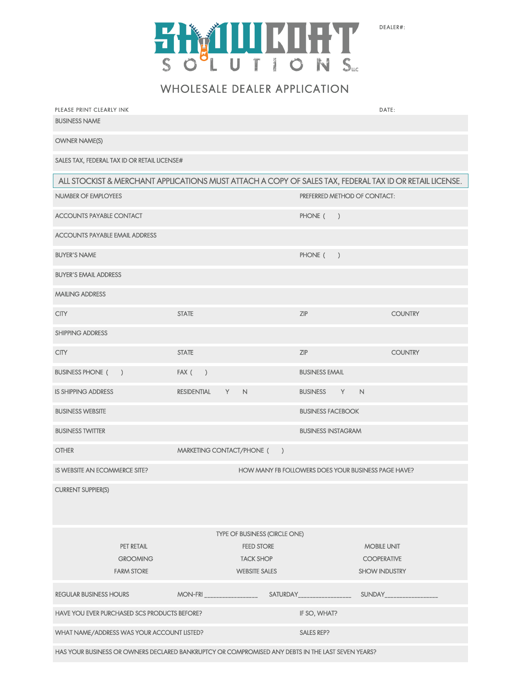

DEALER#:

WHOLESALE DEALER APPLICATION

| PLEASE PRINT CLEARLY INK                                                                                |                                |                           | DATE:                                                   |
|---------------------------------------------------------------------------------------------------------|--------------------------------|---------------------------|---------------------------------------------------------|
| <b>BUSINESS NAME</b>                                                                                    |                                |                           |                                                         |
| <b>OWNER NAME(S)</b>                                                                                    |                                |                           |                                                         |
| SALES TAX, FEDERAL TAX ID OR RETAIL LICENSE#                                                            |                                |                           |                                                         |
| ALL STOCKIST & MERCHANT APPLICATIONS MUST ATTACH A COPY OF SALES TAX, FEDERAL TAX ID OR RETAIL LICENSE. |                                |                           |                                                         |
| NUMBER OF EMPLOYEES                                                                                     |                                |                           | PREFERRED METHOD OF CONTACT:                            |
| <b>ACCOUNTS PAYABLE CONTACT</b>                                                                         |                                |                           | PHONE (<br>$\rightarrow$                                |
| <b>ACCOUNTS PAYABLE EMAIL ADDRESS</b>                                                                   |                                |                           |                                                         |
| <b>BUYER'S NAME</b>                                                                                     |                                |                           | PHONE (<br>$\rightarrow$                                |
| <b>BUYER'S EMAIL ADDRESS</b>                                                                            |                                |                           |                                                         |
| <b>MAILING ADDRESS</b>                                                                                  |                                |                           |                                                         |
| <b>CITY</b>                                                                                             | <b>STATE</b>                   |                           | ZIP<br><b>COUNTRY</b>                                   |
| <b>SHIPPING ADDRESS</b>                                                                                 |                                |                           |                                                         |
| <b>CITY</b>                                                                                             | <b>STATE</b>                   |                           | ZIP<br><b>COUNTRY</b>                                   |
| <b>BUSINESS PHONE (</b><br>$\rightarrow$                                                                | $FAX$ ( )                      |                           | <b>BUSINESS EMAIL</b>                                   |
| <b>IS SHIPPING ADDRESS</b>                                                                              | <b>RESIDENTIAL</b>             | Y.<br>$\mathbb N$         | $\mathsf{N}$<br>Y<br><b>BUSINESS</b>                    |
| <b>BUSINESS WEBSITE</b>                                                                                 |                                |                           | <b>BUSINESS FACEBOOK</b>                                |
| <b>BUSINESS TWITTER</b>                                                                                 |                                |                           | <b>BUSINESS INSTAGRAM</b>                               |
| <b>OTHER</b>                                                                                            |                                | MARKETING CONTACT/PHONE ( | $\lambda$                                               |
| IS WEBSITE AN ECOMMERCE SITE?                                                                           |                                |                           | HOW MANY FB FOLLOWERS DOES YOUR BUSINESS PAGE HAVE?     |
| <b>CURRENT SUPPIER(S)</b>                                                                               |                                |                           |                                                         |
|                                                                                                         |                                |                           |                                                         |
| TYPE OF BUSINESS (CIRCLE ONE)                                                                           |                                |                           |                                                         |
| PET RETAIL                                                                                              |                                | <b>FEED STORE</b>         | <b>MOBILE UNIT</b>                                      |
| <b>GROOMING</b>                                                                                         |                                | <b>TACK SHOP</b>          | <b>COOPERATIVE</b>                                      |
| <b>FARM STORE</b>                                                                                       |                                | <b>WEBSITE SALES</b>      | <b>SHOW INDUSTRY</b>                                    |
| <b>REGULAR BUSINESS HOURS</b>                                                                           | $MON-FRI$ ____________________ |                           | SATURDAY___________________<br>SUNDAY__________________ |
| HAVE YOU EVER PURCHASED SCS PRODUCTS BEFORE?<br>IF SO, WHAT?                                            |                                |                           |                                                         |
| WHAT NAME/ADDRESS WAS YOUR ACCOUNT LISTED?<br><b>SALES REP?</b>                                         |                                |                           |                                                         |
| HAS YOUR BUSINESS OR OWNERS DECLARED BANKRUPTCY OR COMPROMISED ANY DEBTS IN THE LAST SEVEN YEARS?       |                                |                           |                                                         |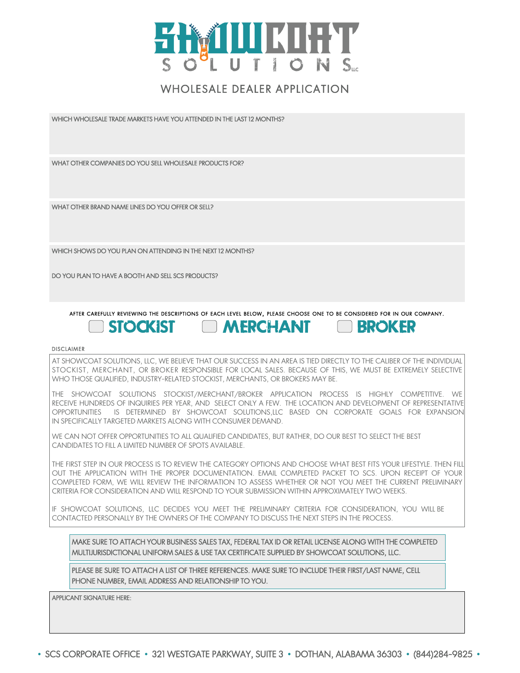

## WHOLESALE DEALER APPLICATION

WHICH WHOLESALE TRADE MARKETS HAVE YOU ATTENDED IN THE LAST 12 MONTHS?

WHAT OTHER COMPANIES DO YOU SELL WHOLESALE PRODUCTS FOR?

WHAT OTHER BRAND NAME LINES DO YOU OFFER OR SELL?

WHICH SHOWS DO YOU PLAN ON ATTENDING IN THE NEXT 12 MONTHS?

DO YOU PLAN TO HAVE A BOOTH AND SELL SCS PRODUCTS?

#### AFTER CAREFULLY REVIEWING THE DESCRIPTIONS OF EACH LEVEL BELOW, PLEASE CHOOSE ONE TO BE CONSIDERED FOR IN OUR COMPANY. **MERCHANT STOCKIST**

**EROKER** 

#### DISCLAIMER

AT SHOWCOAT SOLUTIONS, LLC, WE BELIEVE THAT OUR SUCCESS IN AN AREA IS TIED DIRECTLY TO THE CALIBER OF THE INDIVIDUAL STOCKIST, MERCHANT, OR BROKER RESPONSIBLE FOR LOCAL SALES. BECAUSE OF THIS, WE MUST BE EXTREMELY SELECTIVE WHO THOSE QUALIFIED, INDUSTRY-RELATED STOCKIST, MERCHANTS, OR BROKERS MAY BE.

THE SHOWCOAT SOLUTIONS STOCKIST/MERCHANT/BROKER APPLICATION PROCESS IS HIGHLY COMPETITIVE. WE RECEIVE HUNDREDS OF INQUIRIES PER YEAR, AND SELECT ONLY A FEW. THE LOCATION AND DEVELOPMENT OF REPRESENTATIVE OPPORTUNITIES IS DETERMINED BY SHOWCOAT SOLUTIONS,LLC BASED ON CORPORATE GOALS FOR EXPANSION IN SPECIFICALLY TARGETED MARKETS ALONG WITH CONSUMER DEMAND.

WE CAN NOT OFFER OPPORTUNITIES TO ALL QUALIFIED CANDIDATES, BUT RATHER, DO OUR BEST TO SELECT THE BEST CANDIDATES TO FILL A LIMITED NUMBER OF SPOTS AVAILABLE.

THE FIRST STEP IN OUR PROCESS IS TO REVIEW THE CATEGORY OPTIONS AND CHOOSE WHAT BEST FITS YOUR LIFESTYLE. THEN FILL OUT THE APPLICATION WITH THE PROPER DOCUMENTATION. EMAIL COMPLETED PACKET TO SCS. UPON RECEIPT OF YOUR COMPLETED FORM, WE WILL REVIEW THE INFORMATION TO ASSESS WHETHER OR NOT YOU MEET THE CURRENT PRELIMINARY CRITERIA FOR CONSIDERATION AND WILL RESPOND TO YOUR SUBMISSION WITHIN APPROXIMATELY TWO WEEKS.

IF SHOWCOAT SOLUTIONS, LLC DECIDES YOU MEET THE PRELIMINARY CRITERIA FOR CONSIDERATION, YOU WILL BE CONTACTED PERSONALLY BY THE OWNERS OF THE COMPANY TO DISCUSS THE NEXT STEPS IN THE PROCESS.

MAKE SURE TO ATTACH YOUR BUSINESS SALES TAX, FEDERAL TAX ID OR RETAIL LICENSE ALONG WITH THE COMPLETED MULTIJURISDICTIONAL UNIFORM SALES & USE TAX CERTIFICATE SUPPLIED BY SHOWCOAT SOLUTIONS, LLC.

PLEASE BE SURE TO ATTACH A LIST OF THREE REFERENCES. MAKE SURE TO INCLUDE THEIR FIRST/LAST NAME, CELL PHONE NUMBER, EMAIL ADDRESS AND RELATIONSHIP TO YOU.

APPLICANT SIGNATURE HERE: